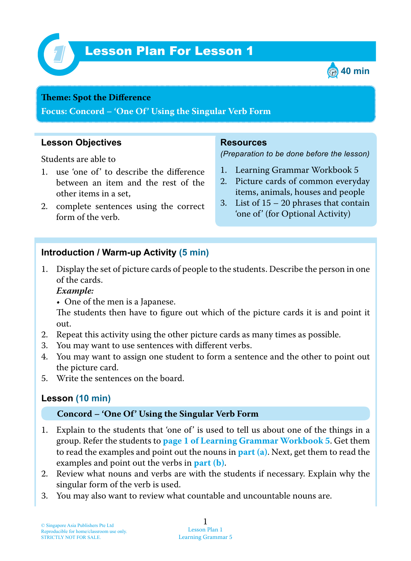

# Lesson Plan For Lesson 1 *1*



#### **Teme : Spot the Difference**

**Focus: Concord – 'One Of' Using the Singular Verb Form**

## **Lesson Objectives**

Students are able to

- 1 . use 'one of' to describe the difference between an item and the rest of the other items in a set,
- 2. complete sentences using the correct form of the verb.

### **Resources**

*(Preparation to be done before the lesson)*

- 1. Learning Grammar Workbook 5
- 2. Picture cards of common everyday items, animals, houses and people
- 3. List of  $15 20$  phrases that contain 'one of' (for Optional Activity)

## **Introduction / Warm-up Activity (5 min)**

1 . Display the set of picture cards of people to the students. Describe the person in one of the cards.

### *Example:*

• One of the men is a Japanese.

The students then have to figure out which of the picture cards it is and point it out.

- 2. Repeat this activity using the other picture cards as many times as possible.
- 3. You may want to use sentences with different verbs.
- 4. You may want to assign one student to form a sentence and the other to point out the picture card.
- 5. Write the sentences on the board.

## **Lesson (10 min)**

#### **Concord – 'One Of' Using the Singular Verb Form**

- 1. Explain to the students that 'one of' is used to tell us about one of the things in a group. Refer the students to **page 1 of Learning Grammar Workbook 5** . Get them to read the examples and point out the nouns in **part (a)**. Next, get them to read the examples and point out the verbs in **part (b)**.
- 2. Review what nouns and verbs are with the students if necessary. Explain why the singular form of the verb is used.
- 3. You may also want to review what countable and uncountable nouns are.